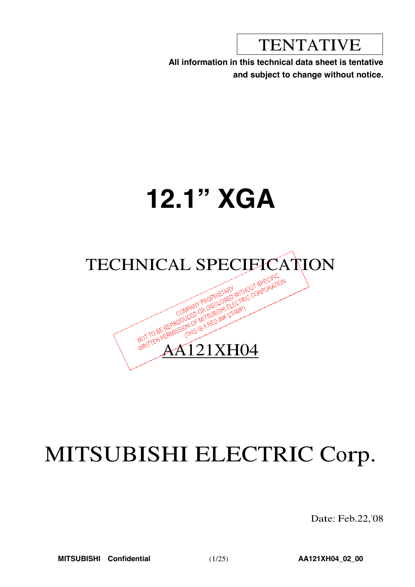TENTATIVE

**All information in this technical data sheet is tentative and subject to change without notice.**

# **12.1" XGA**



## MITSUBISHI ELECTRIC Corp.

Date: Feb.22,'08

**MITSUBISHI Confidential** (1/25) **AA121XH04\_02\_00**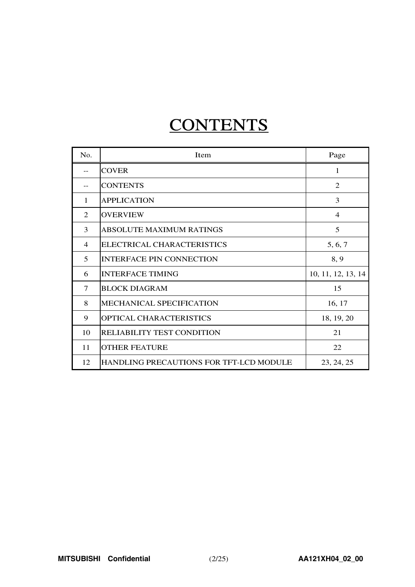## **CONTENTS**

| No.            | Item                                    | Page               |
|----------------|-----------------------------------------|--------------------|
|                | <b>COVER</b>                            | 1                  |
|                | <b>CONTENTS</b>                         | $\overline{2}$     |
| 1              | <b>APPLICATION</b>                      | 3                  |
| 2              | <b>OVERVIEW</b>                         | $\overline{4}$     |
| 3              | <b>ABSOLUTE MAXIMUM RATINGS</b>         | 5                  |
| $\overline{4}$ | ELECTRICAL CHARACTERISTICS              | 5, 6, 7            |
| 5              | <b>INTERFACE PIN CONNECTION</b>         | 8, 9               |
| 6              | <b>INTERFACE TIMING</b>                 | 10, 11, 12, 13, 14 |
| 7              | <b>BLOCK DIAGRAM</b>                    | 15                 |
| 8              | MECHANICAL SPECIFICATION                | 16, 17             |
| 9              | OPTICAL CHARACTERISTICS                 | 18, 19, 20         |
| 10             | <b>RELIABILITY TEST CONDITION</b>       | 21                 |
| 11             | <b>OTHER FEATURE</b>                    | 22                 |
| 12             | HANDLING PRECAUTIONS FOR TFT-LCD MODULE | 23, 24, 25         |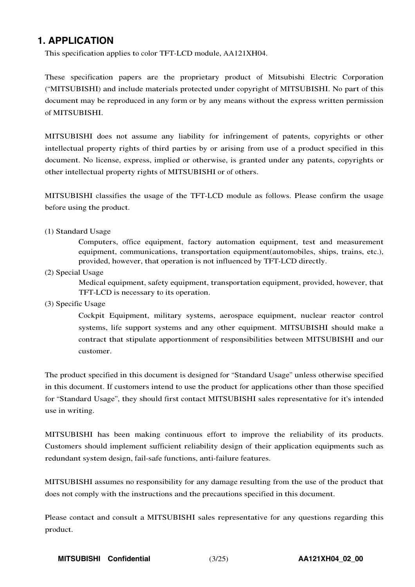### **1. APPLICATION**

This specification applies to color TFT-LCD module, AA121XH04.

These specification papers are the proprietary product of Mitsubishi Electric Corporation ("MITSUBISHI) and include materials protected under copyright of MITSUBISHI. No part of this document may be reproduced in any form or by any means without the express written permission of MITSUBISHI.

MITSUBISHI does not assume any liability for infringement of patents, copyrights or other intellectual property rights of third parties by or arising from use of a product specified in this document. No license, express, implied or otherwise, is granted under any patents, copyrights or other intellectual property rights of MITSUBISHI or of others.

MITSUBISHI classifies the usage of the TFT-LCD module as follows. Please confirm the usage before using the product.

#### (1) Standard Usage

Computers, office equipment, factory automation equipment, test and measurement equipment, communications, transportation equipment(automobiles, ships, trains, etc.), provided, however, that operation is not influenced by TFT-LCD directly.

(2) Special Usage

Medical equipment, safety equipment, transportation equipment, provided, however, that TFT-LCD is necessary to its operation.

(3) Specific Usage

Cockpit Equipment, military systems, aerospace equipment, nuclear reactor control systems, life support systems and any other equipment. MITSUBISHI should make a contract that stipulate apportionment of responsibilities between MITSUBISHI and our customer.

The product specified in this document is designed for "Standard Usage" unless otherwise specified in this document. If customers intend to use the product for applications other than those specified for "Standard Usage", they should first contact MITSUBISHI sales representative for it's intended use in writing.

MITSUBISHI has been making continuous effort to improve the reliability of its products. Customers should implement sufficient reliability design of their application equipments such as redundant system design, fail-safe functions, anti-failure features.

MITSUBISHI assumes no responsibility for any damage resulting from the use of the product that does not comply with the instructions and the precautions specified in this document.

Please contact and consult a MITSUBISHI sales representative for any questions regarding this product.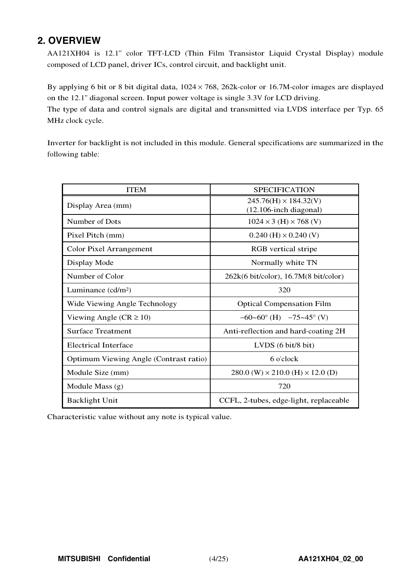## **2. OVERVIEW**

AA121XH04 is 12.1" color TFT-LCD (Thin Film Transistor Liquid Crystal Display) module composed of LCD panel, driver ICs, control circuit, and backlight unit.

By applying <sup>6</sup> bit or <sup>8</sup> bit digital data, <sup>1024</sup> × 768, 262k-color or 16.7M-color images are displayed on the 12.1" diagonal screen. Input power voltage is single 3.3V for LCD driving.

The type of data and control signals are digital and transmitted via LVDS interface per Typ. 65 MHz clock cycle.

Inverter for backlight is not included in this module. General specifications are summarized in the following table:

| <b>ITEM</b>                            | <b>SPECIFICATION</b>                                        |
|----------------------------------------|-------------------------------------------------------------|
| Display Area (mm)                      | $245.76(H) \times 184.32(V)$<br>$(12.106$ -inch diagonal)   |
| Number of Dots                         | $1024 \times 3$ (H) $\times 768$ (V)                        |
| Pixel Pitch (mm)                       | $0.240$ (H) $\times$ 0.240 (V)                              |
| Color Pixel Arrangement                | RGB vertical stripe                                         |
| Display Mode                           | Normally white TN                                           |
| Number of Color                        | $262k(6 \text{ bit/color})$ , 16.7M $(8 \text{ bit/color})$ |
| Luminance $(cd/m2)$                    | 320                                                         |
| Wide Viewing Angle Technology          | <b>Optical Compensation Film</b>                            |
| Viewing Angle ( $CR \ge 10$ )          | $-60$ ~60° (H) $-75$ ~45° (V)                               |
| <b>Surface Treatment</b>               | Anti-reflection and hard-coating 2H                         |
| Electrical Interface                   | LVDS (6 bit/8 bit)                                          |
| Optimum Viewing Angle (Contrast ratio) | 6 o'clock                                                   |
| Module Size (mm)                       | $280.0$ (W) $\times$ 210.0 (H) $\times$ 12.0 (D)            |
| Module Mass $(g)$                      | 720                                                         |
| <b>Backlight Unit</b>                  | CCFL, 2-tubes, edge-light, replaceable                      |

Characteristic value without any note is typical value.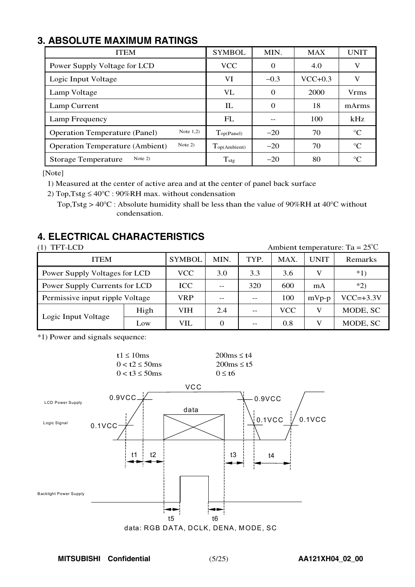## **3. ABSOLUTE MAXIMUM RATINGS**

| <b>ITEM</b>                                         | <b>SYMBOL</b>            | MIN.     | <b>MAX</b> | <b>UNIT</b> |
|-----------------------------------------------------|--------------------------|----------|------------|-------------|
| Power Supply Voltage for LCD                        | <b>VCC</b>               | 0        | 4.0        | V           |
| Logic Input Voltage                                 | VI                       | $-0.3$   | $VCC+0.3$  | V           |
| Lamp Voltage                                        | VL                       | $\Omega$ | 2000       | <b>Vrms</b> |
| Lamp Current                                        | IL                       | $\Omega$ | 18         | mArms       |
| Lamp Frequency                                      | FL                       |          | 100        | kHz         |
| Note $1,2)$<br><b>Operation Temperature (Panel)</b> | Top(Panel)               | $-20$    | 70         | $^{\circ}C$ |
| Note 2)<br><b>Operation Temperature (Ambient)</b>   | $T_{\text{op(Ambient)}}$ | $-20$    | 70         | $^{\circ}C$ |
| Note $2)$<br><b>Storage Temperature</b>             | $T_{\rm stg}$            | $-20$    | 80         | $^{\circ}C$ |

[Note]

1) Measured at the center of active area and at the center of panel back surface

<sup>2</sup>) <sup>T</sup>op,Tstg ≤ <sup>40</sup>°<sup>C</sup> : <sup>90</sup>%RH max. without condensation

Top, Tstg >  $40^{\circ}$ C : Absolute humidity shall be less than the value of 90%RH at 40 $^{\circ}$ C without condensation.

## **4. ELECTRICAL CHARACTERISTICS**

| TFT-LCD                         |      | Ambient temperature: Ta = $25^{\circ}$ C |                   |      |       |             |               |  |  |  |  |
|---------------------------------|------|------------------------------------------|-------------------|------|-------|-------------|---------------|--|--|--|--|
| <b>ITEM</b>                     |      | <b>SYMBOL</b>                            | MIN.              | TYP. | MAX.  | <b>UNIT</b> | Remarks       |  |  |  |  |
| Power Supply Voltages for LCD   |      | VCC.                                     | 3.3<br>3.6<br>3.0 |      |       |             | $*1)$         |  |  |  |  |
| Power Supply Currents for LCD   |      | ICC                                      |                   | mA   | $*2)$ |             |               |  |  |  |  |
| Permissive input ripple Voltage |      | VRP                                      | 100               |      |       |             | $VCC = +3.3V$ |  |  |  |  |
|                                 | High | <b>VIH</b>                               | 2.4               |      | VCC   | V           | MODE, SC      |  |  |  |  |
| Logic Input Voltage             | Low  | VIL                                      | 0                 |      | 0.8   | V           | MODE, SC      |  |  |  |  |

\*1) Power and signals sequence:

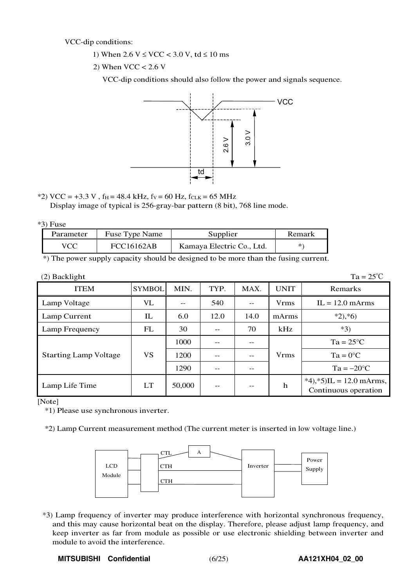VCC-dip conditions:

- 1) When  $2.6 \text{ V} \leq \text{VCC} < 3.0 \text{ V}$ , td  $\leq 10 \text{ ms}$
- 2) When  $VCC < 2.6$  V

VCC-dip conditions should also follow the power and signals sequence.



 $*2)$  VCC = +3.3 V, f<sub>H</sub> = 48.4 kHz, f<sub>V</sub> = 60 Hz, f<sub>CLK</sub> = 65 MHz Display image of typical is 256-gray-bar pattern (8 bit), 768 line mode.

| 119 |
|-----|
| ٠.  |

| Parameter  | Fuse Type Name | Supplier                  | Remark |
|------------|----------------|---------------------------|--------|
| <b>VCC</b> | FCC16162AB     | Kamaya Electric Co., Ltd. |        |

\*) The power supply capacity should be designed to be more than the fusing current.

| $(2)$ Backlight              |                                   |        |      |      |             | $Ta = 25^{\circ}C$                                    |
|------------------------------|-----------------------------------|--------|------|------|-------------|-------------------------------------------------------|
| <b>ITEM</b>                  | <b>SYMBOL</b>                     | MIN.   | TYP. | MAX. | <b>UNIT</b> | Remarks                                               |
| Lamp Voltage                 | VL                                | $ -$   | 540  | $-$  | <b>Vrms</b> | $IL = 12.0$ mArms                                     |
| Lamp Current                 | $\mathop{\mathrm{I\!L}}\nolimits$ | 6.0    | 12.0 | 14.0 | mArms       | $*2, *6)$                                             |
| Lamp Frequency               | FL                                | 30     |      | 70   | kHz         | $*3)$                                                 |
|                              |                                   | 1000   |      | --   |             | $Ta = 25^{\circ}C$                                    |
| <b>Starting Lamp Voltage</b> | VS                                | 1200   |      | $-$  | <b>Vrms</b> | $Ta = 0^{\circ}C$                                     |
|                              |                                   | 1290   | --   | $ -$ |             | $Ta = -20$ °C                                         |
| Lamp Life Time               | <b>LT</b>                         | 50,000 | --   | --   | $\mathbf h$ | $*4$ , $*5$ )IL = 12.0 mArms,<br>Continuous operation |

[Note]

\*1) Please use synchronous inverter.

\*2) Lamp Current measurement method (The current meter is inserted in low voltage line.)



\*3) Lamp frequency of inverter may produce interference with horizontal synchronous frequency, and this may cause horizontal beat on the display. Therefore, please adjust lamp frequency, and keep inverter as far from module as possible or use electronic shielding between inverter and module to avoid the interference.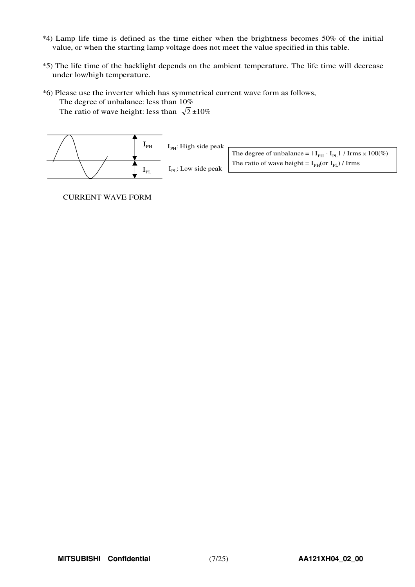- \*4) Lamp life time is defined as the time either when the brightness becomes 50% of the initial value, or when the starting lamp voltage does not meet the value specified in this table.
- \*5) The life time of the backlight depends on the ambient temperature. The life time will decrease under low/high temperature.
- \*6) Please use the inverter which has symmetrical current wave form as follows, The degree of unbalance: less than 10%

The ratio of wave height: less than  $\sqrt{2} \pm 10\%$ 



CURRENT WAVE FORM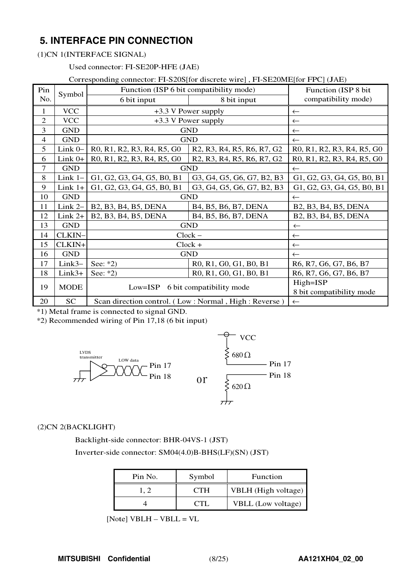## **5. INTERFACE PIN CONNECTION**

#### (1)CN 1(INTERFACE SIGNAL)

Used connector: FI-SE20P-HFE (JAE)

#### Corresponding connector: FI-S20S[for discrete wire] , FI-SE20ME[for FPC] (JAE)

| Pin                      | Symbol      | Function (ISP 6 bit compatibility mode)                                                                              |                                                                                                                      | Function (ISP 8 bit)                 |  |  |  |  |  |  |
|--------------------------|-------------|----------------------------------------------------------------------------------------------------------------------|----------------------------------------------------------------------------------------------------------------------|--------------------------------------|--|--|--|--|--|--|
| No.                      |             | 6 bit input                                                                                                          | 8 bit input                                                                                                          | compatibility mode)                  |  |  |  |  |  |  |
| 1                        | <b>VCC</b>  | +3.3 V Power supply                                                                                                  | $\leftarrow$                                                                                                         |                                      |  |  |  |  |  |  |
| $\overline{2}$           | <b>VCC</b>  |                                                                                                                      | +3.3 V Power supply                                                                                                  | $\leftarrow$                         |  |  |  |  |  |  |
| 3                        | <b>GND</b>  |                                                                                                                      | <b>GND</b>                                                                                                           | $\leftarrow$                         |  |  |  |  |  |  |
| $\overline{\mathcal{A}}$ | <b>GND</b>  |                                                                                                                      | <b>GND</b>                                                                                                           | $\leftarrow$                         |  |  |  |  |  |  |
| 5                        | Link 0-     | R0, R1, R2, R3, R4, R5, G0                                                                                           | R <sub>2</sub> , R <sub>3</sub> , R <sub>4</sub> , R <sub>5</sub> , R <sub>6</sub> , R <sub>7</sub> , G <sub>2</sub> | R0, R1, R2, R3, R4, R5, G0           |  |  |  |  |  |  |
| 6                        | $Link 0+$   | R <sub>0</sub> , R <sub>1</sub> , R <sub>2</sub> , R <sub>3</sub> , R <sub>4</sub> , R <sub>5</sub> , G <sub>0</sub> | R <sub>2</sub> , R <sub>3</sub> , R <sub>4</sub> , R <sub>5</sub> , R <sub>6</sub> , R <sub>7</sub> , G <sub>2</sub> | R0, R1, R2, R3, R4, R5, G0           |  |  |  |  |  |  |
| $\overline{7}$           | <b>GND</b>  |                                                                                                                      | <b>GND</b>                                                                                                           | $\leftarrow$                         |  |  |  |  |  |  |
| 8                        | Link $1-$   | G1, G2, G3, G4, G5, B0, B1                                                                                           | G3, G4, G5, G6, G7, B2, B3                                                                                           | G1, G2, G3, G4, G5, B0, B1           |  |  |  |  |  |  |
| 9                        | $Link 1+$   | G1, G2, G3, G4, G5, B0, B1                                                                                           | G3, G4, G5, G6, G7, B2, B3                                                                                           | G1, G2, G3, G4, G5, B0, B1           |  |  |  |  |  |  |
| 10                       | <b>GND</b>  |                                                                                                                      | <b>GND</b>                                                                                                           | $\leftarrow$                         |  |  |  |  |  |  |
| 11                       | Link $2-$   | B2, B3, B4, B5, DENA                                                                                                 | B4, B5, B6, B7, DENA                                                                                                 | B2, B3, B4, B5, DENA                 |  |  |  |  |  |  |
| 12                       | $Link 2+$   | B <sub>2</sub> , B <sub>3</sub> , B <sub>4</sub> , B <sub>5</sub> , DENA                                             | B4, B5, B6, B7, DENA                                                                                                 | B2, B3, B4, B5, DENA                 |  |  |  |  |  |  |
| 13                       | <b>GND</b>  |                                                                                                                      | <b>GND</b>                                                                                                           | $\leftarrow$                         |  |  |  |  |  |  |
| 14                       | CLKIN-      |                                                                                                                      | $Clock -$                                                                                                            | $\leftarrow$                         |  |  |  |  |  |  |
| 15                       | CLKIN+      |                                                                                                                      | $Clock +$                                                                                                            | $\leftarrow$                         |  |  |  |  |  |  |
| 16                       | <b>GND</b>  |                                                                                                                      | <b>GND</b>                                                                                                           | $\leftarrow$                         |  |  |  |  |  |  |
| 17                       | $Link3-$    | See: $*2)$                                                                                                           | R0, R1, G0, G1, B0, B1                                                                                               | R6, R7, G6, G7, B6, B7               |  |  |  |  |  |  |
| 18                       | $Link3+$    | See: $*2)$                                                                                                           | R0, R1, G0, G1, B0, B1                                                                                               | R6, R7, G6, G7, B6, B7               |  |  |  |  |  |  |
| 19                       | <b>MODE</b> | $Low = ISP$                                                                                                          | 6 bit compatibility mode                                                                                             | High=ISP<br>8 bit compatibility mode |  |  |  |  |  |  |
| 20                       | SC          |                                                                                                                      | Scan direction control. (Low: Normal, High: Reverse)                                                                 | $\leftarrow$                         |  |  |  |  |  |  |

\*1) Metal frame is connected to signal GND.

\*2) Recommended wiring of Pin 17,18 (6 bit input)



#### (2)CN 2(BACKLIGHT)

Backlight-side connector: BHR-04VS-1 (JST)

Inverter-side connector: SM04(4.0)B-BHS(LF)(SN) (JST)

| Pin No. | Symbol | Function            |
|---------|--------|---------------------|
|         | CTH    | VBLH (High voltage) |
|         | C 'T   | VBLL (Low voltage)  |

[Note] VBLH – VBLL <sup>=</sup> V<sup>L</sup>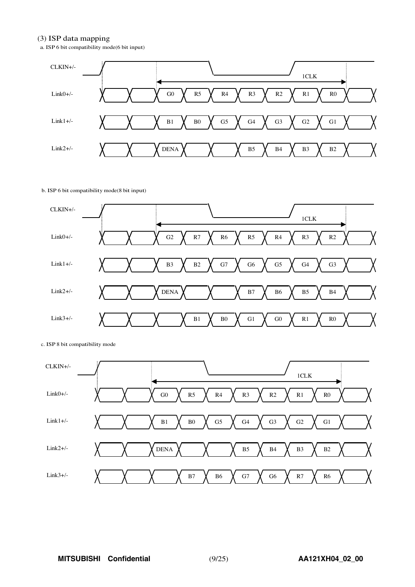#### (3) ISP data mapping

a. ISP 6 bit compatibility mode(6 bit input)



#### b. ISP 6 bit compatibility mode(8 bit input)



c. ISP 8 bit compatibility mode

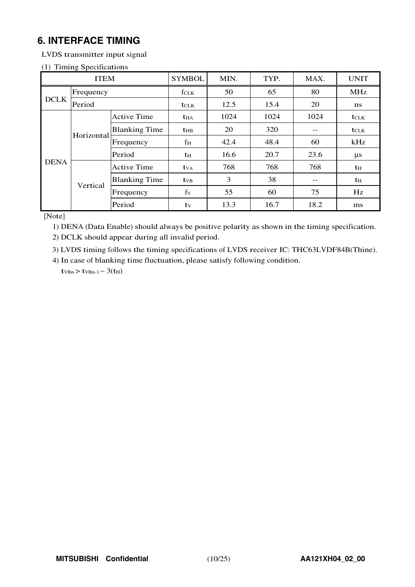## **6. INTERFACE TIMING**

LVDS transmitter input signal

#### (1) Timing Specifications

|             | <b>ITEM</b> |                      | <b>SYMBOL</b>           | MIN. | TYP. | MAX.             | <b>UNIT</b>    |
|-------------|-------------|----------------------|-------------------------|------|------|------------------|----------------|
|             | Frequency   |                      | $f_{CLK}$               | 50   | 65   | 80               | <b>MHz</b>     |
| <b>DCLK</b> | Period      |                      | <b>t</b> CLK            | 12.5 | 15.4 | 20               | ns             |
|             |             | <b>Active Time</b>   | $t_{HA}$                | 1024 | 1024 | $t_{\text{CLK}}$ |                |
|             |             | <b>Blanking Time</b> | $t_{HB}$                | 20   | 320  | --               | <b>t</b> CLK   |
|             | Horizontal  | Frequency            | fн                      | 42.4 | 48.4 | 60               | kHz            |
|             |             | Period               | th                      | 16.6 | 20.7 | 23.6             | $\mu s$        |
| <b>DENA</b> |             | <b>Active Time</b>   | <b>t</b> v <sub>A</sub> | 768  | 768  | 768              | t <sub>H</sub> |
|             | Vertical    | <b>Blanking Time</b> | <b>t</b> <sub>VB</sub>  | 3    | 38   | --               | th             |
|             |             | Frequency            | $f_V$                   | 55   | 60   | 75               | Hz             |
|             |             | Period               | tv                      | 13.3 | 16.7 | 18.2             | ms             |

[Note]

1) DENA (Data Enable) should always be positive polarity as shown in the timing specification.

2) DCLK should appear during all invalid period.

3) LVDS timing follows the timing specifications of LVDS receiver IC: THC63LVDF84B(Thine).

4) In case of blanking time fluctuation, please satisfy following condition.  $t_{VBn}$  >  $t_{VBn-1}$  – 3( $t_{H}$ )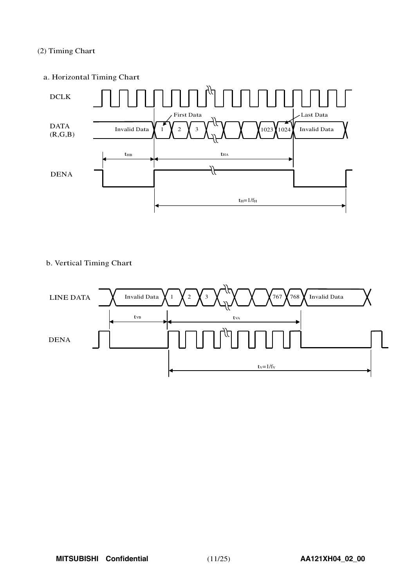#### (2) Timing Chart

#### a. Horizontal Timing Chart



#### b. Vertical Timing Chart

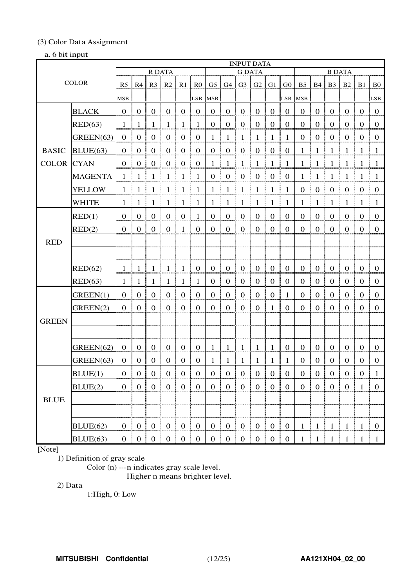#### (3) Color Data Assignment

#### a. 6 bit input

|                   |                |                  |                   |                                                        |                                  |                                                |                  |                      |                   | <b>INPUT DATA</b>             |                                     |                                        |                  |                |                      |                                                        |                  |                                  |                                     |
|-------------------|----------------|------------------|-------------------|--------------------------------------------------------|----------------------------------|------------------------------------------------|------------------|----------------------|-------------------|-------------------------------|-------------------------------------|----------------------------------------|------------------|----------------|----------------------|--------------------------------------------------------|------------------|----------------------------------|-------------------------------------|
|                   |                |                  |                   | R DATA                                                 |                                  |                                                |                  |                      |                   | <b>G DATA</b>                 |                                     |                                        |                  |                |                      | <b>B DATA</b>                                          |                  |                                  |                                     |
|                   | <b>COLOR</b>   |                  |                   | $R5 \nvert R4 \nvert R3 \nvert R2 \nvert R1 \nvert R0$ |                                  |                                                |                  |                      |                   | $G5$ $G4$ $G3$ $G2$ $G1$ $G0$ |                                     |                                        |                  |                |                      | $B5 \nvert B4 \nvert B3 \nvert B2 \nvert B1 \nvert B0$ |                  |                                  |                                     |
|                   |                | MSB              |                   |                                                        |                                  |                                                | LSB              | <b>MSB</b>           |                   |                               |                                     |                                        | LSB:             | <b>MSB</b>     |                      |                                                        |                  |                                  | LSB:                                |
|                   | <b>BLACK</b>   | $\Omega$         | $\pm 0$           | $\overline{0}$                                         | $\boldsymbol{0}$                 | $\boldsymbol{0}$<br>÷                          | $\overline{0}$   | $\overline{0}$<br>đ. | $\overline{0}$    | $\boldsymbol{0}$              | $\boldsymbol{0}$                    | $\overline{0}$                         | $\overline{0}$   | $\overline{0}$ | $\boldsymbol{0}$     | $\overline{0}$                                         | $\mathbf{0}$     | $\overline{0}$                   | $\vdots$ 0                          |
|                   | RED(63)        | 1                | -1                | -1                                                     | -1                               | $\mathbf{1}$                                   | $\overline{1}$   | $\overline{0}$       | $\boldsymbol{0}$  | $\boldsymbol{0}$<br>Ē         | $\boldsymbol{0}$                    | $\boldsymbol{0}$                       | $\overline{0}$   | $\mathbf{0}$   | $\boldsymbol{0}$     | $\mathbf{0}$                                           | $\overline{0}$   | $\overline{0}$                   | $\overline{0}$                      |
|                   | GREEN(63)      | $\theta$         | $\boldsymbol{0}$  | $\boldsymbol{0}$                                       | $\boldsymbol{0}$                 | $\boldsymbol{0}$                               | $\boldsymbol{0}$ | $1 \;$               | $\mathbf{1}$      | $\overline{1}$                | 1                                   | $\overline{1}$                         | $\mathbf{1}$     | $\overline{0}$ | $\boldsymbol{0}$     | $\boldsymbol{0}$                                       | $\boldsymbol{0}$ | $\overline{0}$                   | $\mathbf{0}$                        |
| <b>BASIC</b>      | BLUE(63)       | $\Omega$         | $\mathbf{0}$      | $\boldsymbol{0}$                                       | $\boldsymbol{0}$                 | $\boldsymbol{0}$<br>÷                          | $\overline{0}$   | 0 <sup>1</sup>       | $\boldsymbol{0}$  | I<br>$\boldsymbol{0}$         | $\boldsymbol{0}$                    | $\overline{0}$                         | $\overline{0}$   | $\mathbf{1}$   | $\mathbf{1}$         | $\mathbf{1}$                                           | $\overline{1}$   | -1                               | -1                                  |
| <b>COLOR</b> CYAN |                | $\Omega$         | $\boldsymbol{0}$  | $\boldsymbol{0}$                                       | $\overline{0}$<br>ŧ.             | $\boldsymbol{0}$<br>- E                        | $\overline{0}$   | $\mathbf{1}$         | $\mathbf{1}$      | $\vert 1$                     | $1 \nmid 1$                         |                                        | $\vdash$ 1       | $\mathbf{1}$   | $\mathbf{1}$         | ŧ<br>-1<br>÷                                           | $\mathbf{1}$     | -1                               | $\overline{1}$                      |
|                   | <b>MAGENTA</b> | $\mathbf{1}$     | -1                | - 1                                                    | -1                               | $1\,$ i                                        | $\overline{1}$   | $\overline{0}$       | $\mathbf{0}$      | $\boldsymbol{0}$<br>I         | $\mathbf{0}$                        | $\overline{0}$                         | $\overline{0}$   | $\mathbf{1}$   | $\mathbf{1}$         | ÷<br>$\overline{1}$<br>÷                               | $\overline{1}$   | $1 \mid 1$                       |                                     |
|                   | <b>YELLOW</b>  | $\mathbf{1}$     |                   | $1 \perp 1$                                            | $\frac{1}{2}$                    | $\frac{1}{2}$                                  | $\overline{1}$   | $1 \quad$            | $\mathbf{1}$      | $\frac{1}{2}$                 | $\mathbf{1}$<br>÷                   | $\begin{array}{c} 1 \end{array}$       | $\mathbf{1}$     | $\overline{0}$ | $\mathbf{0}$         | $\overline{0}$<br>ŧ<br>÷                               | $\overline{0}$   | $\bf{0}$                         | $\begin{array}{c} 0 \end{array}$    |
|                   | <b>WHITE</b>   | 1                | -1                | -1                                                     | $\mathbf{1}$                     | $\mathbf{1}$                                   | $\pm$ 1          | 1 <sup>1</sup>       | $1 \nmid 1$       |                               | $\,$ 1 $\,$<br>÷                    | $\overline{1}$                         | -1               | $\mathbf{1}$   | $\lceil$ 1           | -1                                                     | - 1              | -1                               | -1                                  |
|                   | RED(1)         | $\Omega$         | $\overline{0}$    | $\overline{0}$                                         | $\boldsymbol{0}$                 | $\boldsymbol{0}$                               | $\overline{1}$   | $\overline{0}$       | $\mathbf{0}$<br>÷ | $\mathbf{0}$                  | $\boldsymbol{0}$                    | $\mathbf{0}$                           | $\boldsymbol{0}$ | $\mathbf{0}$   | $\mathbf{0}$         | $\boldsymbol{0}$                                       | $\boldsymbol{0}$ | $\boldsymbol{0}$                 | $\mathbf{0}$                        |
|                   | RED(2)         | $\theta$         | $\overline{0}$    | $\mathbf{0}$                                           | $\boldsymbol{0}$                 | $\mathbf{1}$                                   | $\mathbf{0}$     | $\overline{0}$       | $\mathbf{0}$      | I<br>$\mathbf{0}$             | $\boldsymbol{0}$                    | $\overline{0}$                         | $\overline{0}$   | $\overline{0}$ | $\mathbf{0}$         | $\boldsymbol{0}$                                       | $\overline{0}$   | $\overline{0}$                   | $\mathbf{0}$                        |
| <b>RED</b>        |                |                  |                   |                                                        |                                  |                                                |                  |                      |                   |                               |                                     |                                        |                  |                |                      |                                                        |                  |                                  |                                     |
|                   |                |                  |                   |                                                        |                                  |                                                |                  |                      |                   |                               |                                     |                                        |                  |                |                      |                                                        |                  |                                  |                                     |
|                   | RED(62)        | 1                | -1                | -1                                                     | $\pm$ 1                          | -1<br>÷                                        | $\bf{0}$         | $\overline{0}$       | $\overline{0}$    | $\frac{1}{2}$ 0               | $\mathbf{0}$                        | $\overline{0}$                         | $\bf{0}$         | $\overline{0}$ | $\boldsymbol{0}$     | $\overline{0}$<br>÷                                    | $\mathbf{0}$     | $\overline{0}$                   | $\pm 0$                             |
|                   | RED(63)        | 1.               | -1                | - 1                                                    | -1                               | -1                                             | 1                | 0                    | $\overline{0}$    | $\mathbf{0}$<br>Ŧ.            | $\mathbf{0}$                        | $\overline{0}$                         | $\mathbf{0}$     | $\theta$       | $\boldsymbol{0}$     | $\Omega$                                               | $\overline{0}$   | $\Omega$                         | $\pm 0$                             |
|                   | GREEN(1)       | $\mathbf{0}$     | $\overline{0}$    | $\overline{0}$                                         | $\boldsymbol{0}$                 | $\mathbf{0}$                                   | $\mathbf{0}$     | $\mathbf{0}$         | $\mathbf{0}$      | $\boldsymbol{0}$              | $\boldsymbol{0}$                    | $\boldsymbol{0}$                       | $\overline{1}$   | $\mathbf{0}$   | $\boldsymbol{0}$     | $\boldsymbol{0}$                                       | $\boldsymbol{0}$ | $\overline{0}$                   | $\Omega$                            |
|                   | GREEN(2)       | $\overline{0}$   | 0 <sup>1</sup>    | $\overline{0}$                                         | $\boldsymbol{0}$                 | $\mathbf{0}$<br>ŧ<br>÷                         | $\overline{0}$   | 0 <sup>1</sup>       | $\mathbf{0}$      | $\frac{1}{2}$ 0               | $\mathbf{0}$                        | $\mathbf{1}$                           | $\overline{0}$   | $\overline{0}$ | $\mathbf{0}$         | $\mathbf{0}$<br>÷<br>÷                                 | $\overline{0}$   | $\mathbf{0}$                     | $\vdots$ 0                          |
| <b>GREEN</b>      |                |                  |                   |                                                        |                                  |                                                |                  |                      |                   |                               |                                     |                                        |                  |                |                      |                                                        |                  |                                  |                                     |
|                   |                |                  |                   |                                                        |                                  |                                                |                  |                      |                   |                               |                                     |                                        |                  |                |                      |                                                        |                  |                                  |                                     |
|                   | GREEN(62)      | $\overline{0}$   | $\boldsymbol{0}$  | $\overline{0}$                                         | $\overline{0}$                   | $\overline{0}$<br>÷                            | $\bf{0}$         | $1 \pm$              | $\mathbf{1}$      | $\pm 1$                       | $\mathbf{1}$                        | -1                                     | $\frac{1}{2}$ 0  | $\overline{0}$ | $\mathbf{0}$         | $\overline{0}$                                         | $\overline{0}$   | $0 \nvert 0$                     |                                     |
|                   | GREEN(63)      | $\theta$         | $\theta$          | $\boldsymbol{0}$                                       | $\boldsymbol{0}$                 | $\overline{0}$                                 | $\boldsymbol{0}$ | 1                    | -1                | $\vdash$ 1                    | -1                                  | -1                                     | -1               | $\theta$       | $\boldsymbol{0}$     | $\boldsymbol{0}$                                       | $\boldsymbol{0}$ | $\theta$                         | $\theta$                            |
|                   | BLUE(1)        | $\boldsymbol{0}$ | $\overline{0}$    | $\overline{0}$                                         | $\boldsymbol{0}$<br>ł            | $\begin{smallmatrix}0&1\end{smallmatrix}$      | $\overline{0}$   | $\mathbf{0}$         | 0 <sup>1</sup>    | $\boldsymbol{0}$              | $\mathbf{0}$                        | $\overline{0}$                         | $\overline{0}$   | $\mathbf{0}$   | $\boldsymbol{0}$     | $\boldsymbol{0}$<br>I                                  | $\overline{0}$   | $\begin{matrix}0\\0\end{matrix}$ | $\overline{1}$                      |
|                   | BLUE(2)        |                  | $0 \mid 0 \mid 0$ |                                                        | $\begin{array}{c} 0 \end{array}$ |                                                |                  |                      | $0 \mid 0 \mid 0$ |                               | $\begin{matrix} 1 & 0 \end{matrix}$ | $\begin{array}{c c} 0 & 0 \end{array}$ |                  | $\overline{0}$ | $\overline{0}$<br>Ŧ. | $\begin{array}{c} 0 \\ 0 \end{array}$                  | $\bf{0}$<br>÷    | 1 <sup>1</sup>                   |                                     |
| <b>BLUE</b>       |                |                  |                   |                                                        |                                  |                                                |                  |                      |                   |                               |                                     |                                        |                  |                |                      |                                                        |                  |                                  |                                     |
|                   |                |                  |                   |                                                        |                                  |                                                |                  |                      |                   |                               |                                     |                                        |                  |                |                      |                                                        |                  |                                  |                                     |
|                   | BLUE(62)       |                  |                   | $0 \mid 0 \mid 0 \mid 0$                               |                                  | $\begin{bmatrix} 0 & 0 \\ 0 & 0 \end{bmatrix}$ |                  |                      | $0 \mid 0 \mid 0$ |                               |                                     |                                        |                  | $\mathbf{1}$   |                      | $1 \mid 1 \mid$                                        | $\mathbf{1}$     | 1                                | $\begin{matrix} 1 & 0 \end{matrix}$ |
|                   | BLUE(63)       |                  |                   | $0 \mid 0 \mid 0$                                      | $\mathbf{0}$                     | $\begin{array}{c c} 0 & 0 \\ \end{array}$      |                  |                      |                   | 0   0   0   0   0   0         |                                     |                                        |                  | $\overline{1}$ | $\lceil$             | $1\,$                                                  | 1                | -1                               | $\mathbf{1}$                        |

#### [Note]

1) Definition of gray scale

Color (n) ---n indicates gray scale level.

Higher n means brighter level.

2) Data

1:High, 0: Low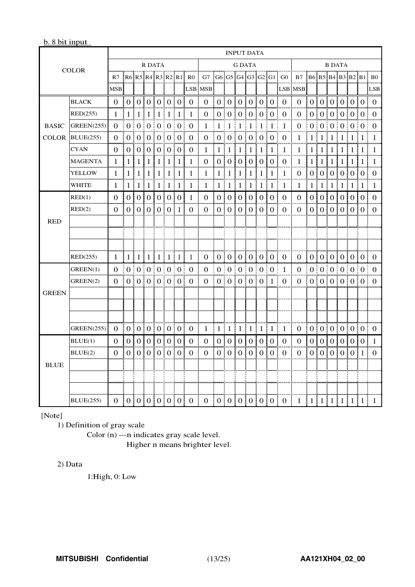#### b. 8 bit input

|              |                   |                  |                |    |                               |                |                  |                  |                      |                |                  |                | <b>INPUT DATA</b> |                  |                       |                |                                       |                         |                |                  |             |                   |                       |                  |                |
|--------------|-------------------|------------------|----------------|----|-------------------------------|----------------|------------------|------------------|----------------------|----------------|------------------|----------------|-------------------|------------------|-----------------------|----------------|---------------------------------------|-------------------------|----------------|------------------|-------------|-------------------|-----------------------|------------------|----------------|
|              | <b>COLOR</b>      |                  |                |    | <b>R DATA</b>                 |                |                  |                  |                      |                |                  |                | <b>G DATA</b>     |                  |                       |                |                                       |                         |                |                  |             | <b>B DATA</b>     |                       |                  |                |
|              |                   | R7               |                |    |                               |                |                  |                  | R6 R5 R4 R3 R2 R1 R0 |                |                  |                |                   |                  |                       |                | G7   G6   G5   G4   G3   G2   G1   G0 | B7 B6 B5 B4 B3 B2 B1 B0 |                |                  |             |                   |                       |                  |                |
|              |                   | <b>MSB</b>       |                |    |                               |                |                  |                  | LSB                  | <b>MSB</b>     |                  |                |                   |                  |                       |                |                                       | <b>LSB MSB</b>          |                |                  |             |                   |                       |                  | LSB            |
| <b>BLACK</b> |                   | $\Omega$         |                |    | 0 0 0 0 0 0 0                 |                |                  |                  |                      | $\Omega$       |                  |                | 01010101          |                  |                       | 0:0            | $\Omega$                              | $\Omega$                |                |                  |             |                   |                       |                  | 0 0 0 0 0 0 0  |
|              | RED(255)          | 1                |                |    | $1 \mid 1 \mid 1 \mid 1 \mid$ |                | -1               | $\pm 1$          | ÷<br>-1              | 0              |                  | 0:0:           | 0 <sup>1</sup>    | 0 <sup>1</sup>   | $\theta$              | $\pm 0$        | $\theta$                              | $\theta$                | $\theta$       | ÷                |             | 0 0 0             |                       | 0:0              | 0              |
| <b>BASIC</b> | GREEN(255)        | $\Omega$         |                |    | 0   0   0   0   0   0   0     |                |                  |                  |                      | 1              | $1 \pm 1$        |                | Ŧ<br>-1           | $\pm 1$          | Ŧ<br>-1               | $\pm 1$        | -1                                    | $\Omega$                | 0 <sup>1</sup> |                  |             |                   | 0:0:0:0:0             |                  | ÷<br>$\Omega$  |
| <b>COLOR</b> | BLUE(255)         | $\Omega$         |                |    | 0   0   0   0   0             |                |                  | 0 <sup>1</sup>   | $\Omega$             | 0              |                  |                | 0 0 0 0           |                  | $\boldsymbol{0}$<br>ŧ | $\Omega$       | $\mathbf 0$                           | 1                       | $\mathbf{1}$   |                  | $1 \nmid 1$ | $\lceil 1 \rceil$ | 1                     | $\mathbf{1}$     | $\mathbf{1}$   |
|              | <b>CYAN</b>       | 0                |                |    | 0:0:0:0:0:0:0:0               |                |                  |                  |                      | 1              |                  | 1   1          | 1 <sup>1</sup>    | 1 <sup>1</sup>   | -1                    | $\pm 1$<br>÷   | -1                                    | 1                       | 1              |                  |             |                   | 1   1   1   1   1     |                  | $\overline{1}$ |
|              | <b>MAGENTA</b>    | 1                | 1              | 1  | 1                             | 1              | 1                | 1                | 1                    | 0              | 0                | 0              | 0                 | $\overline{0}$   | $\theta$              | 0              | $\bf{0}$                              | 1                       | 1              | 1                | 1           | 1                 | 1                     | 1                | 1              |
|              | <b>YELLOW</b>     | 1                | 1              | 11 | $\mathbf{1}$<br>÷             | 1              | 1<br>÷           | 1                | 1                    | 1              | $\mathbf{1}$     | 1              | 1                 | 1                | 1                     | 1<br>÷         | 1                                     | $\Omega$                | $\overline{0}$ |                  | 0101        | 0 <sup>1</sup>    | 0 <sup>1</sup>        | $\overline{0}$   | $\Omega$<br>I. |
|              | WHITE             | 1                | 1<br>÷         |    | 1 1 1                         |                | $\mathbf{1}$     | 1<br>÷           | 1<br>÷               | 1              | 1:1              |                | $\lceil 1 \rceil$ | 1 <sup>1</sup>   | $\mathbf{1}$          | $\pm 1$<br>ł   | $\mathbf{1}$                          | 1                       | $\mathbf{1}$   | 1                |             |                   | 1 1 1 1               |                  | -1             |
|              | RED(1)            | $\Omega$         | $\Omega$       |    | 0101                          | $\theta$ i     | $\Omega$         | $\overline{0}$ i | $\mathbf{1}$         | $\Omega$       | $\overline{0}$ : | 0 <sup>1</sup> | 0 <sup>1</sup>    | $\overline{0}$ i | $\Omega$              | $\Omega$       | $\Omega$                              | $\Omega$                | $\Omega$       | $\overline{0}$ : | 0 !         | $\overline{0}$ .  | 0 <sup>1</sup>        | $\overline{0}$ : | $\Omega$       |
|              | RED(2)            | $\Omega$         | 0 <sup>1</sup> |    | 0101                          | 0 <sup>1</sup> | $\theta$         | -1               | $\Omega$             | 0              |                  | 0101           | 0 <sup>1</sup>    | 0:               | $\Omega$              | $\Omega$       | 0                                     | $\theta$                | $\theta$       |                  |             | 010101            | 0:                    | $\theta$         | $\theta$       |
| <b>RED</b>   |                   |                  |                |    |                               |                |                  |                  |                      |                |                  |                |                   |                  |                       |                |                                       |                         |                |                  |             |                   |                       |                  |                |
|              |                   |                  |                |    |                               |                |                  |                  |                      |                |                  |                |                   |                  |                       |                |                                       |                         |                |                  |             |                   |                       |                  |                |
|              |                   |                  |                |    |                               |                |                  |                  |                      |                |                  |                |                   |                  |                       |                |                                       |                         |                |                  |             |                   |                       |                  |                |
|              | RED(255)          | 1                |                |    | 1   1   1   1   1   1         |                |                  |                  | 1                    | $\Omega$       | ÷                |                |                   |                  | 0 0 0 0 0 0           |                | $\Omega$                              | $\Omega$                | 10101010101010 |                  |             |                   |                       |                  |                |
|              | GREEN(1)          | $\Omega$         |                |    | 0   0   0   0   0   0   0     |                |                  |                  |                      | $\Omega$       |                  |                |                   |                  | 0   0   0   0   0   0 |                | ŧ<br>$\mathbf{1}$                     | $\Omega$                |                |                  |             |                   |                       |                  | 0:0:0:0:0:0:0  |
|              | GREEN(2)          | $\theta$         |                |    | 0   0   0   0   0   0         |                |                  |                  | ŧ.<br>-0             | $\theta$       |                  |                |                   |                  | 0   0   0   0   0   1 | š              | $\theta$                              | $\theta$                |                |                  |             |                   | 0   0   0   0   0   0 |                  | 0              |
| <b>GREEN</b> |                   |                  |                |    |                               |                |                  |                  |                      |                |                  |                |                   |                  |                       |                |                                       |                         |                |                  |             |                   |                       |                  |                |
|              |                   |                  |                |    |                               |                |                  |                  |                      |                |                  |                |                   |                  |                       |                |                                       |                         |                |                  |             |                   |                       |                  |                |
|              |                   |                  |                |    |                               |                |                  |                  |                      |                |                  |                |                   |                  |                       |                |                                       |                         |                |                  |             |                   |                       |                  |                |
|              | <b>GREEN(255)</b> | $\overline{0}$   | 0 0 0 0 0 0 0  |    |                               |                |                  |                  |                      | 1              | 1 1 1            |                |                   |                  | $1 \nmid 1$           | $\pm 1$<br>ŧ   | 1                                     | $\overline{0}$          |                |                  |             |                   | 0   0   0   0   0   0 |                  | $\bf{0}$       |
|              | BLUE(1)           | $\theta$         | 0 <sup>1</sup> |    | 0101                          | 0 <sup>1</sup> | $\overline{0}$ ! | $\overline{0}$ : | $\theta$             | $\theta$       |                  | 0101           | 0:                | 0 <sup>1</sup>   | $\overline{0}$        | $\overline{0}$ | $\theta$                              | $\theta$                | $\overline{0}$ | $\overline{0}$ : |             | 0101              | 0 <sup>1</sup>        | $\overline{0}$   | 1              |
|              | BLUE(2)           | $\Omega$         | $\Omega$       |    | 0101                          | $\theta$       | $\theta$<br>÷    | $\theta$         | $\Omega$             | 0              | 0 i              | $\overline{0}$ | $\theta$          | L<br>$\theta$    | $\Omega$              | $\theta$       | $\theta$                              | 0                       | $\overline{0}$ |                  | 0101        | 0 <sup>1</sup>    | $\overline{0}$        | 1                | 0              |
| <b>BLUE</b>  |                   |                  |                |    |                               |                |                  |                  |                      |                |                  |                |                   |                  |                       |                |                                       |                         |                |                  |             |                   |                       |                  |                |
|              |                   |                  |                |    |                               |                |                  |                  |                      |                |                  |                |                   |                  |                       |                |                                       |                         |                |                  |             |                   |                       |                  |                |
|              |                   |                  |                |    |                               |                |                  |                  |                      |                |                  |                |                   |                  |                       |                |                                       |                         |                |                  |             |                   |                       |                  |                |
|              | <b>BLUE</b> (255) | 0  0 0 0 0 0 0 0 |                |    |                               |                |                  |                  |                      | $\overline{0}$ |                  |                |                   |                  | 0 0 0 0 0 0           |                | $\theta$                              | $1 \mid 1$              |                |                  |             |                   | 1 1 1 1               | 1                | 1              |

[Note]

1) Definition of gray scale

Color (n) ---n indicates gray scale level.

Higher n means brighter level.

#### 2) Data

1:High, 0: Low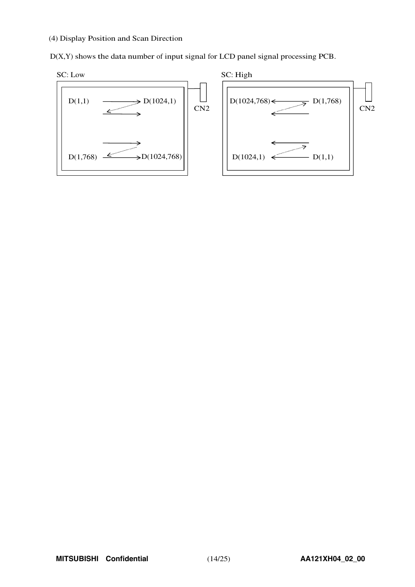#### (4) Display Position and Scan Direction

D(X,Y) shows the data number of input signal for LCD panel signal processing PCB.



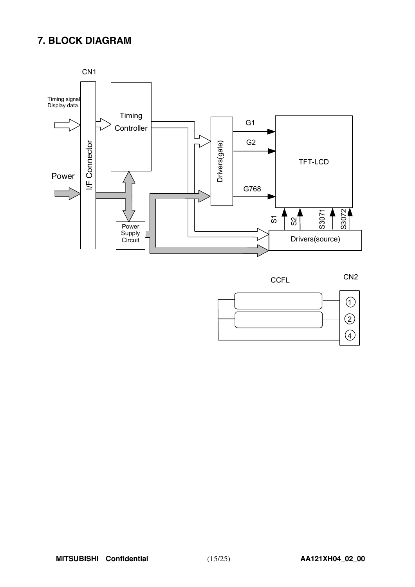## **7. BLOCK DIAGRAM**



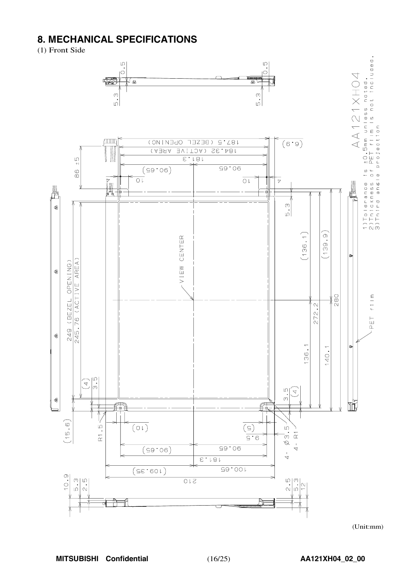## **8. MECHANICAL SPECIFICATIONS**

(1) Front Side



(Unit:mm)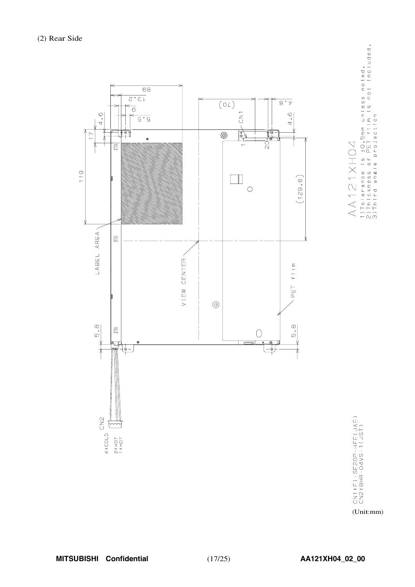

1)Tolerance is ±O.5mm unless noted,<br>2)Thickness of PET film is not included.<br>3)Third angle projection AA121XH04

> CN1:FI-SEZOP-HFE(JAE)<br>CN2:BHR-04VS-1(JST) (Unit:mm)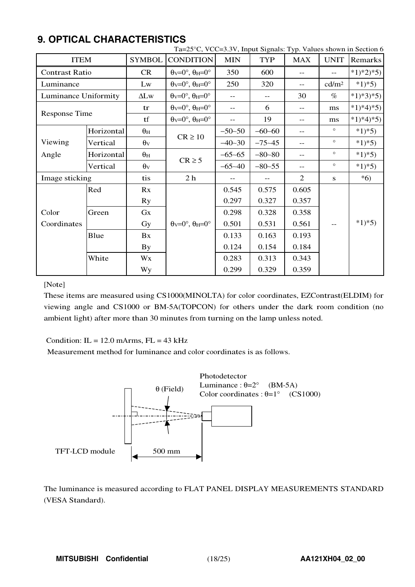|                       |            |                  | Ta=25°C, VCC=3.3V, Input Signals: Typ. Values shown in Section 6      |            |            |            |                   |            |
|-----------------------|------------|------------------|-----------------------------------------------------------------------|------------|------------|------------|-------------------|------------|
| <b>ITEM</b>           |            | <b>SYMBOL</b>    | <b>CONDITION</b>                                                      | <b>MIN</b> | <b>TYP</b> | <b>MAX</b> | <b>UNIT</b>       | Remarks    |
| <b>Contrast Ratio</b> |            | <b>CR</b>        | $\theta$ <sub>V</sub> =0°, $\theta$ <sub>H</sub> =0°                  | 350        | 600        |            | $-$               | $*1)*2*5)$ |
| Luminance             |            | Lw               | $\theta$ <sub>V</sub> =0°, $\theta$ <sub>H</sub> =0°                  | 250        | 320        | $-$        | cd/m <sup>2</sup> | $*1)*5)$   |
| Luminance Uniformity  |            | $\Delta L$ w     | $\theta$ <sub>V</sub> =0°, $\theta$ <sub>H</sub> =0°                  | $- -$      | $- -$      | 30         | $\%$              | $*1)*3*5)$ |
| <b>Response Time</b>  |            | tr               | $\theta$ <sub>V</sub> = $0^\circ$ , $\theta$ <sub>H</sub> = $0^\circ$ | $- -$      | 6          | $- -$      | ms                | $*1)*4*5$  |
|                       |            | tf               | $\theta$ <sub>V</sub> = $0^\circ$ , $\theta$ <sub>H</sub> = $0^\circ$ | $- -$      | 19         | $- -$      | ms                | $*1)*4*5$  |
|                       | Horizontal | $\theta_{\rm H}$ | $CR \ge 10$                                                           | $-50-50$   | $-60-60$   | $- -$      | $\circ$           | $*1*5$     |
| Viewing               | Vertical   | $\theta_{V}$     |                                                                       | $-40-30$   | $-75 - 45$ | $- -$      | $\circ$           | $*1)*5)$   |
| Angle                 | Horizontal | $\theta_H$       |                                                                       | $-65-65$   | $-80 - 80$ | $-$        | $\circ$           | $*1)*5)$   |
|                       | Vertical   | $\theta$ v       | $CR \geq 5$                                                           | $-65 - 40$ | $-80-55$   | $-$        | $\circ$           | $*1)*5)$   |
| Image sticking        |            | tis              | 2 <sub>h</sub>                                                        | $- -$      |            | 2          | S                 | $*6)$      |
|                       | Red        | Rx               |                                                                       | 0.545      | 0.575      | 0.605      |                   |            |
|                       |            | <b>Ry</b>        |                                                                       | 0.297      | 0.327      | 0.357      |                   |            |
| Color                 | Green      | Gx               |                                                                       | 0.298      | 0.328      | 0.358      |                   |            |
| Coordinates           |            | Gy               | $\theta$ v=0°, $\theta$ H=0°                                          | 0.501      | 0.531      | 0.561      | $- -$             | $*1)*5)$   |
|                       | Blue       | Bx               |                                                                       | 0.133      | 0.163      | 0.193      |                   |            |
|                       |            | By               |                                                                       | 0.124      | 0.154      | 0.184      |                   |            |
|                       | White      | Wx               |                                                                       | 0.283      | 0.313      | 0.343      |                   |            |
|                       |            | Wy               |                                                                       | 0.299      | 0.329      | 0.359      |                   |            |

## **9. OPTICAL CHARACTERISTICS**

#### [Note]

These items are measured using CS1000(MINOLTA) for color coordinates, EZContrast(ELDIM) for viewing angle and CS1000 or BM-5A(TOPCON) for others under the dark room condition (no ambient light) after more than 30 minutes from turning on the lamp unless noted.

Condition:  $IL = 12.0$  mArms,  $FL = 43$  kHz

Measurement method for luminance and color coordinates is as follows.



The luminance is measured according to FLAT PANEL DISPLAY MEASUREMENTS STANDARD (VESA Standard).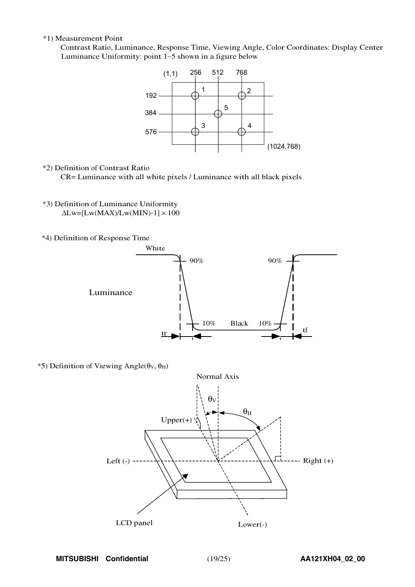#### \*1) Measurement Point

Contrast Ratio, Luminance, Response Time, Viewing Angle, Color Coordinates: Display Center Luminanc<sup>e</sup> Uniformity: point <sup>1</sup>∼<sup>5</sup> shown in a figure belo<sup>w</sup>



#### \*2) Definition of Contrast Ratio

CR= Luminance with all white pixels / Luminance with all black pixels

- \*3) Definition of Luminance Uniformity  $\Delta$ Lw=[Lw(MAX)/Lw(MIN)-1]  $\times$  100
- \*4) Definition of Response Time



 $*$ 5) Definition of Viewing Angle(θ<sub>V</sub>, θ<sub>H</sub>)

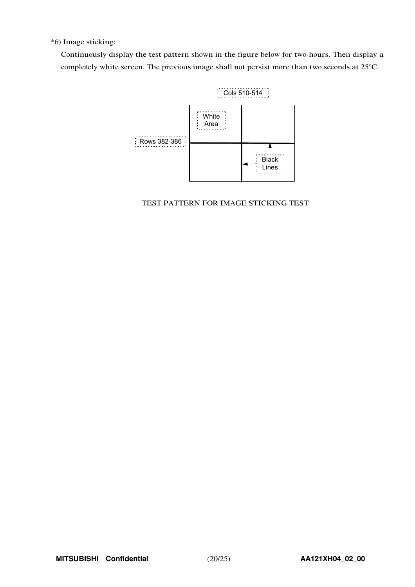\*6) Image sticking:

Continuously display the test pattern shown in the figure below for two-hours. Then display a completely white screen. The previous image shall not persist more than two seconds at 25°C.



TEST PATTERN FOR IMAGE STICKING TEST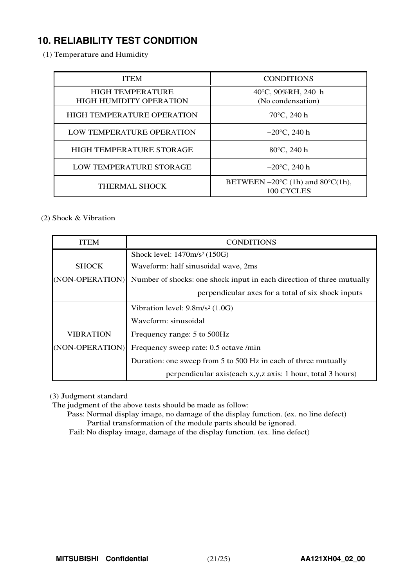## **10. RELIABILITY TEST CONDITION**

(1) Temperature and Humidity

| <b>ITEM</b>                                               | <b>CONDITIONS</b>                                                   |  |  |  |
|-----------------------------------------------------------|---------------------------------------------------------------------|--|--|--|
| <b>HIGH TEMPERATURE</b><br><b>HIGH HUMIDITY OPERATION</b> | 40°C, 90%RH, 240 h<br>(No condensation)                             |  |  |  |
| <b>HIGH TEMPERATURE OPERATION</b>                         | $70^{\circ}$ C, 240 h                                               |  |  |  |
| LOW TEMPERATURE OPERATION                                 | $-20^{\circ}$ C, 240 h                                              |  |  |  |
| <b>HIGH TEMPERATURE STORAGE</b>                           | $80^{\circ}$ C, 240 h                                               |  |  |  |
| LOW TEMPERATURE STORAGE                                   | $-20^{\circ}$ C, 240 h                                              |  |  |  |
| <b>THERMAL SHOCK</b>                                      | BETWEEN $-20^{\circ}$ C (1h) and 80 $^{\circ}$ C(1h),<br>100 CYCLES |  |  |  |

#### (2) Shock & Vibration

| <b>ITEM</b>     | <b>CONDITIONS</b>                                                     |  |  |  |  |
|-----------------|-----------------------------------------------------------------------|--|--|--|--|
|                 | Shock level: $1470m/s^2(150G)$                                        |  |  |  |  |
| <b>SHOCK</b>    | Waveform: half sinusoidal wave, 2ms                                   |  |  |  |  |
| (NON-OPERATION) | Number of shocks: one shock input in each direction of three mutually |  |  |  |  |
|                 | perpendicular axes for a total of six shock inputs                    |  |  |  |  |
|                 | Vibration level: $9.8m/s^2$ (1.0G)                                    |  |  |  |  |
|                 | Waveform: sinusoidal                                                  |  |  |  |  |
| VIBRATION       | Frequency range: 5 to 500Hz                                           |  |  |  |  |
| (NON-OPERATION) | Frequency sweep rate: 0.5 octave /min                                 |  |  |  |  |
|                 | Duration: one sweep from 5 to 500 Hz in each of three mutually        |  |  |  |  |
|                 | perpendicular axis(each x,y,z axis: 1 hour, total 3 hours)            |  |  |  |  |

(3) Judgment standard

The judgment of the above tests should be made as follow:

Pass: Normal display image, no damage of the display function. (ex. no line defect) Partial transformation of the module parts should be ignored.

Fail: No display image, damage of the display function. (ex. line defect)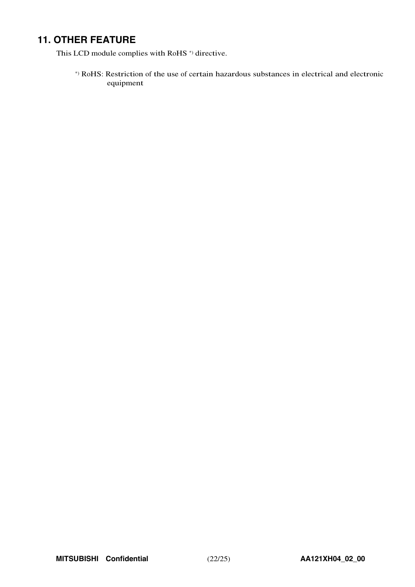## **11. OTHER FEATURE**

This LCD module complies with RoHS<sup>\*</sup>) directive.

\*) RoHS: Restriction of the use of certain hazardous substances in electrical and electronic equipment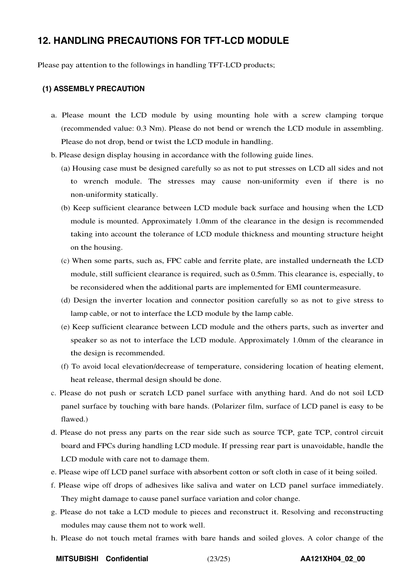### **12. HANDLING PRECAUTIONS FOR TFT-LCD MODULE**

Please pay attention to the followings in handling TFT-LCD products;

#### **(1) ASSEMBLY PRECAUTION**

- a. Please mount the LCD module by using mounting hole with a screw clamping torque (recommended value: 0.3 Nm). Please do not bend or wrench the LCD module in assembling. Please do not drop, bend or twist the LCD module in handling.
- b. Please design display housing in accordance with the following guide lines.
	- (a) Housing case must be designed carefully so as not to put stresses on LCD all sides and not to wrench module. The stresses may cause non-uniformity even if there is no non-uniformity statically.
	- (b) Keep sufficient clearance between LCD module back surface and housing when the LCD module is mounted. Approximately 1.0mm of the clearance in the design is recommended taking into account the tolerance of LCD module thickness and mounting structure height on the housing.
	- (c) When some parts, such as, FPC cable and ferrite plate, are installed underneath the LCD module, still sufficient clearance is required, such as 0.5mm. This clearance is, especially, to be reconsidered when the additional parts are implemented for EMI countermeasure.
	- (d) Design the inverter location and connector position carefully so as not to give stress to lamp cable, or not to interface the LCD module by the lamp cable.
	- (e) Keep sufficient clearance between LCD module and the others parts, such as inverter and speaker so as not to interface the LCD module. Approximately 1.0mm of the clearance in the design is recommended.
	- (f) To avoid local elevation/decrease of temperature, considering location of heating element, heat release, thermal design should be done.
- c. Please do not push or scratch LCD panel surface with anything hard. And do not soil LCD panel surface by touching with bare hands. (Polarizer film, surface of LCD panel is easy to be flawed.)
- d. Please do not press any parts on the rear side such as source TCP, gate TCP, control circuit board and FPCs during handling LCD module. If pressing rear part is unavoidable, handle the LCD module with care not to damage them.
- e. Please wipe off LCD panel surface with absorbent cotton or soft cloth in case of it being soiled.
- f. Please wipe off drops of adhesives like saliva and water on LCD panel surface immediately. They might damage to cause panel surface variation and color change.
- g. Please do not take a LCD module to pieces and reconstruct it. Resolving and reconstructing modules may cause them not to work well.
- h. Please do not touch metal frames with bare hands and soiled gloves. A color change of the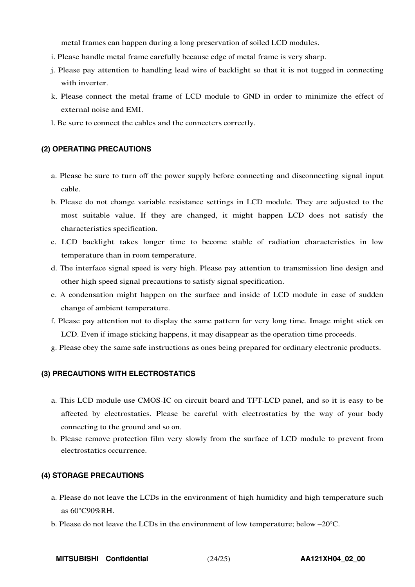metal frames can happen during a long preservation of soiled LCD modules.

- i. Please handle metal frame carefully because edge of metal frame is very sharp.
- j. Please pay attention to handling lead wire of backlight so that it is not tugged in connecting with inverter.
- k. Please connect the metal frame of LCD module to GND in order to minimize the effect of external noise and EMI.
- l. Be sure to connect the cables and the connecters correctly.

#### **(2) OPERATING PRECAUTIONS**

- a. Please be sure to turn off the power supply before connecting and disconnecting signal input cable.
- b. Please do not change variable resistance settings in LCD module. They are adjusted to the most suitable value. If they are changed, it might happen LCD does not satisfy the characteristics specification.
- c. LCD backlight takes longer time to become stable of radiation characteristics in low temperature than in room temperature.
- d. The interface signal speed is very high. Please pay attention to transmission line design and other high speed signal precautions to satisfy signal specification.
- e. A condensation might happen on the surface and inside of LCD module in case of sudden change of ambient temperature.
- f. Please pay attention not to display the same pattern for very long time. Image might stick on LCD. Even if image sticking happens, it may disappear as the operation time proceeds.
- g. Please obey the same safe instructions as ones being prepared for ordinary electronic products.

#### **(3) PRECAUTIONS WITH ELECTROSTATICS**

- a. This LCD module use CMOS-IC on circuit board and TFT-LCD panel, and so it is easy to be affected by electrostatics. Please be careful with electrostatics by the way of your body connecting to the ground and so on.
- b. Please remove protection film very slowly from the surface of LCD module to prevent from electrostatics occurrence.

#### **(4) STORAGE PRECAUTIONS**

- a. Please do not leave the LCDs in the environment of high humidity and high temperature such as 60°C90%RH.
- b. Please do not leave the LCDs in the environment of low temperature; below –20°C.